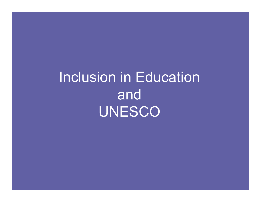# Inclusion in Education and UNESCO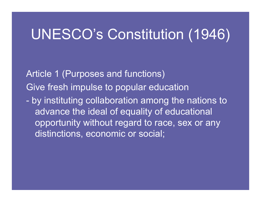## UNESCO's Constitution (1946)

Article 1 (Purposes and functions) Give fresh impulse to popular education

 by instituting collaboration among the nations to advance the ideal of equality of educational opportunity without regard to race, sex or any distinctions, economic or social;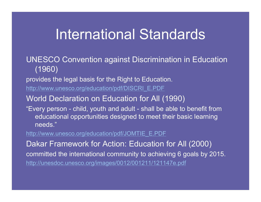## International Standards

#### UNESCO Convention against Discrimination in Education (1960)

provides the legal basis for the Right to Education.

http://www.unesco.org/education/pdf/DISCRI\_E.PDF

World Declaration on Education for All (1990)

"Every person - child, youth and adult - shall be able to benefit from educational opportunities designed to meet their basic learning needs."

http://www.unesco.org/education/pdf/JOMTIE\_E.PDF

Dakar Framework for Action: Education for All (2000) committed the international community to achieving 6 goals by 2015. http://unesdoc.unesco.org/images/0012/001211/121147e.pdf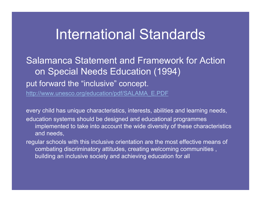## International Standards

Salamanca Statement and Framework for Action on Special Needs Education (1994) put forward the "inclusive" concept. http://www.unesco.org/education/pdf/SALAMA\_E.PDF

every child has unique characteristics, interests, abilities and learning needs, education systems should be designed and educational programmes implemented to take into account the wide diversity of these characteristics and needs,

regular schools with this inclusive orientation are the most effective means of combating discriminatory attitudes, creating welcoming communities , building an inclusive society and achieving education for all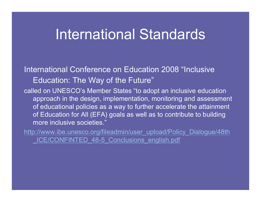## International Standards

#### International Conference on Education 2008 "Inclusive Education: The Way of the Future"

called on UNESCO's Member States "to adopt an inclusive education approach in the design, implementation, monitoring and assessment of educational policies as a way to further accelerate the attainment of Education for All (EFA) goals as well as to contribute to building more inclusive societies."

http://www.ibe.unesco.org/fileadmin/user\_upload/Policy\_Dialogue/48th ICE/CONFINTED 48-5 Conclusions english.pdf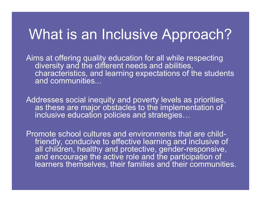## What is an Inclusive Approach?

Aims at offering quality education for all while respecting diversity and the different needs and abilities, characteristics, and learning expectations of the students and communities...

Addresses social inequity and poverty levels as priorities, as these are major obstacles to the implementation of inclusive education policies and strategies…

Promote school cultures and environments that are childfriendly, conducive to effective learning and inclusive of all children, healthy and protective, gender-responsive, and encourage the active role and the participation of learners themselves, their families and their communities.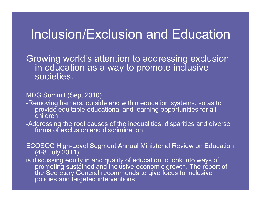#### Inclusion/Exclusion and Education

Growing world's attention to addressing exclusion in education as a way to promote inclusive societies.

MDG Summit (Sept 2010)

- -Removing barriers, outside and within education systems, so as to provide equitable educational and learning opportunities for all children
- -Addressing the root causes of the inequalities, disparities and diverse forms of exclusion and discrimination

ECOSOC High-Level Segment Annual Ministerial Review on Education (4-8 July 2011)

is discussing equity in and quality of education to look into ways of promoting sustained and inclusive economic growth. The report of the Secretary General recommends to give focus to inclusive policies and targeted interventions.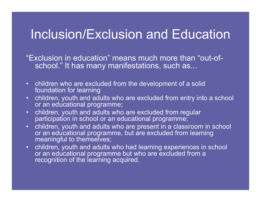### Inclusion/Exclusion and Education

"Exclusion in education" means much more than "out-ofschool." It has many manifestations, such as...

- children who are excluded from the development of a solid foundation for learning
- children, youth and adults who are excluded from entry into a school or an educational programme;
- • children, youth and adults who are excluded from regular participation in school or an educational programme;
- • children, youth and adults who are present in a classroom in school or an educational programme, but are excluded from learning meaningful to themselves;
- children, youth and adults who had learning experiences in school or an educational programme but who are excluded from a recognition of the learning acquired.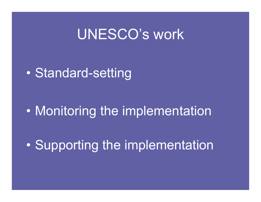## UNESCO's work

 $\bullet$ Standard-setting

 $\bullet$ Monitoring the implementation

 $\bullet$ Supporting the implementation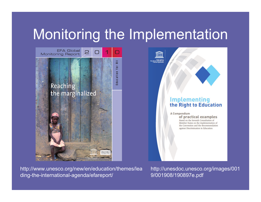## Monitoring the Implementation





http://www.unesco.org/new/en/education/themes/lea ding-the-international-agenda/efareport/

http://unesdoc.unesco.org/images/001 9/001908/190897e.pdf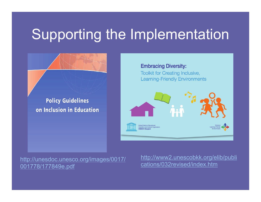# Supporting the Implementation

**Policy Guidelines** on Inclusion in Education **Embracing Diversity: Toolkit for Creating Inclusive, Learning-Friendly Environments** 



http://unesdoc.unesco.org/images/0017/ 001778/177849e.pdf

http://www2.unescobkk.org/elib/publi cations/032revised/index.htm